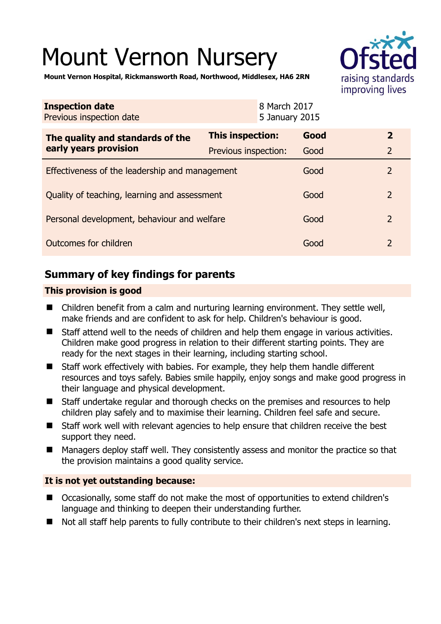# Mount Vernon Nursery



**Mount Vernon Hospital, Rickmansworth Road, Northwood, Middlesex, HA6 2RN** 

| <b>Inspection date</b><br>Previous inspection date        | 8 March 2017            | 5 January 2015 |                |
|-----------------------------------------------------------|-------------------------|----------------|----------------|
| The quality and standards of the<br>early years provision | <b>This inspection:</b> | Good           | $\mathbf{2}$   |
|                                                           | Previous inspection:    | Good           | $\overline{2}$ |
| Effectiveness of the leadership and management            |                         | Good           | $\overline{2}$ |
| Quality of teaching, learning and assessment              |                         | Good           | $\overline{2}$ |
| Personal development, behaviour and welfare               |                         | Good           | $\overline{2}$ |
| Outcomes for children                                     |                         | Good           | $\overline{2}$ |

# **Summary of key findings for parents**

# **This provision is good**

- Children benefit from a calm and nurturing learning environment. They settle well, make friends and are confident to ask for help. Children's behaviour is good.
- Staff attend well to the needs of children and help them engage in various activities. Children make good progress in relation to their different starting points. They are ready for the next stages in their learning, including starting school.
- Staff work effectively with babies. For example, they help them handle different resources and toys safely. Babies smile happily, enjoy songs and make good progress in their language and physical development.
- Staff undertake regular and thorough checks on the premises and resources to help children play safely and to maximise their learning. Children feel safe and secure.
- Staff work well with relevant agencies to help ensure that children receive the best support they need.
- Managers deploy staff well. They consistently assess and monitor the practice so that the provision maintains a good quality service.

# **It is not yet outstanding because:**

- Occasionally, some staff do not make the most of opportunities to extend children's language and thinking to deepen their understanding further.
- Not all staff help parents to fully contribute to their children's next steps in learning.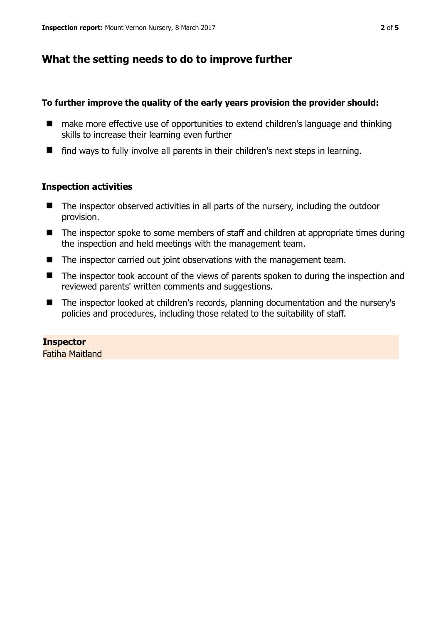# **What the setting needs to do to improve further**

## **To further improve the quality of the early years provision the provider should:**

- make more effective use of opportunities to extend children's language and thinking skills to increase their learning even further
- $\blacksquare$  find ways to fully involve all parents in their children's next steps in learning.

## **Inspection activities**

- The inspector observed activities in all parts of the nursery, including the outdoor provision.
- The inspector spoke to some members of staff and children at appropriate times during the inspection and held meetings with the management team.
- The inspector carried out joint observations with the management team.
- The inspector took account of the views of parents spoken to during the inspection and reviewed parents' written comments and suggestions.
- The inspector looked at children's records, planning documentation and the nursery's policies and procedures, including those related to the suitability of staff.

## **Inspector**

Fatiha Maitland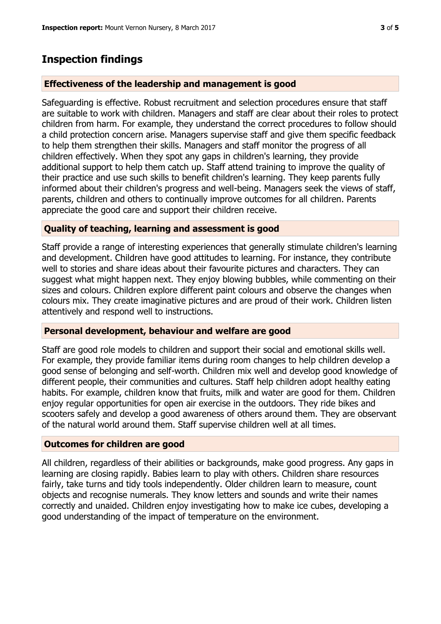# **Inspection findings**

#### **Effectiveness of the leadership and management is good**

Safeguarding is effective. Robust recruitment and selection procedures ensure that staff are suitable to work with children. Managers and staff are clear about their roles to protect children from harm. For example, they understand the correct procedures to follow should a child protection concern arise. Managers supervise staff and give them specific feedback to help them strengthen their skills. Managers and staff monitor the progress of all children effectively. When they spot any gaps in children's learning, they provide additional support to help them catch up. Staff attend training to improve the quality of their practice and use such skills to benefit children's learning. They keep parents fully informed about their children's progress and well-being. Managers seek the views of staff, parents, children and others to continually improve outcomes for all children. Parents appreciate the good care and support their children receive.

## **Quality of teaching, learning and assessment is good**

Staff provide a range of interesting experiences that generally stimulate children's learning and development. Children have good attitudes to learning. For instance, they contribute well to stories and share ideas about their favourite pictures and characters. They can suggest what might happen next. They enjoy blowing bubbles, while commenting on their sizes and colours. Children explore different paint colours and observe the changes when colours mix. They create imaginative pictures and are proud of their work. Children listen attentively and respond well to instructions.

#### **Personal development, behaviour and welfare are good**

Staff are good role models to children and support their social and emotional skills well. For example, they provide familiar items during room changes to help children develop a good sense of belonging and self-worth. Children mix well and develop good knowledge of different people, their communities and cultures. Staff help children adopt healthy eating habits. For example, children know that fruits, milk and water are good for them. Children enjoy regular opportunities for open air exercise in the outdoors. They ride bikes and scooters safely and develop a good awareness of others around them. They are observant of the natural world around them. Staff supervise children well at all times.

#### **Outcomes for children are good**

All children, regardless of their abilities or backgrounds, make good progress. Any gaps in learning are closing rapidly. Babies learn to play with others. Children share resources fairly, take turns and tidy tools independently. Older children learn to measure, count objects and recognise numerals. They know letters and sounds and write their names correctly and unaided. Children enjoy investigating how to make ice cubes, developing a good understanding of the impact of temperature on the environment.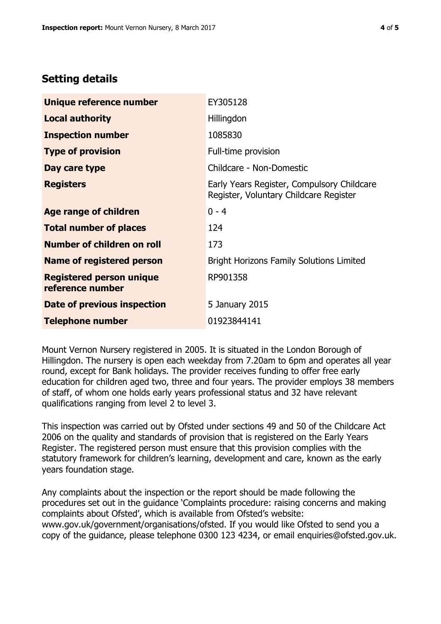# **Setting details**

| Unique reference number                             | EY305128                                                                             |  |
|-----------------------------------------------------|--------------------------------------------------------------------------------------|--|
| <b>Local authority</b>                              | Hillingdon                                                                           |  |
| <b>Inspection number</b>                            | 1085830                                                                              |  |
| <b>Type of provision</b>                            | Full-time provision                                                                  |  |
| Day care type                                       | Childcare - Non-Domestic                                                             |  |
| <b>Registers</b>                                    | Early Years Register, Compulsory Childcare<br>Register, Voluntary Childcare Register |  |
| Age range of children                               | $0 - 4$                                                                              |  |
| <b>Total number of places</b>                       | 124                                                                                  |  |
| Number of children on roll                          | 173                                                                                  |  |
| Name of registered person                           | <b>Bright Horizons Family Solutions Limited</b>                                      |  |
| <b>Registered person unique</b><br>reference number | RP901358                                                                             |  |
| <b>Date of previous inspection</b>                  | 5 January 2015                                                                       |  |
| <b>Telephone number</b>                             | 01923844141                                                                          |  |

Mount Vernon Nursery registered in 2005. It is situated in the London Borough of Hillingdon. The nursery is open each weekday from 7.20am to 6pm and operates all year round, except for Bank holidays. The provider receives funding to offer free early education for children aged two, three and four years. The provider employs 38 members of staff, of whom one holds early years professional status and 32 have relevant qualifications ranging from level 2 to level 3.

This inspection was carried out by Ofsted under sections 49 and 50 of the Childcare Act 2006 on the quality and standards of provision that is registered on the Early Years Register. The registered person must ensure that this provision complies with the statutory framework for children's learning, development and care, known as the early years foundation stage.

Any complaints about the inspection or the report should be made following the procedures set out in the guidance 'Complaints procedure: raising concerns and making complaints about Ofsted', which is available from Ofsted's website: www.gov.uk/government/organisations/ofsted. If you would like Ofsted to send you a copy of the guidance, please telephone 0300 123 4234, or email enquiries@ofsted.gov.uk.